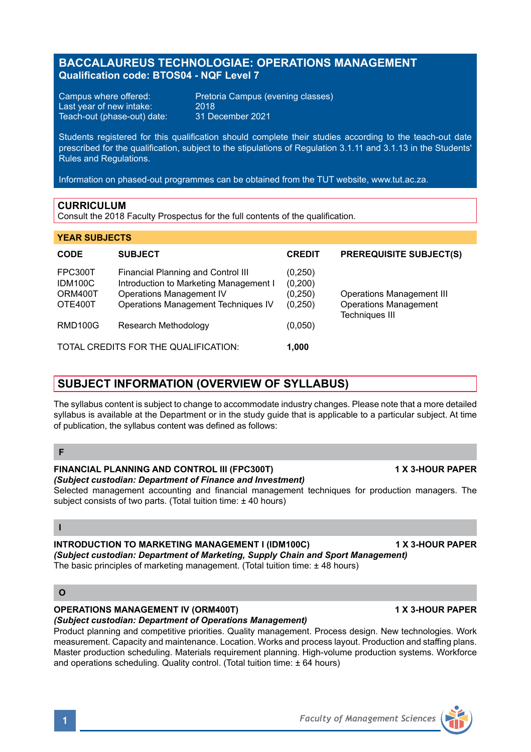# **BACCALAUREUS TECHNOLOGIAE: OPERATIONS MANAGEMENT Qualification code: BTOS04 - NQF Level 7**

Last year of new intake: 2018<br>Teach-out (phase-out) date: 31 December 2021 Teach-out (phase-out) date:

Campus where offered: Pretoria Campus (evening classes)<br>Last vear of new intake: 2018

Students registered for this qualification should complete their studies according to the teach-out date prescribed for the qualification, subject to the stipulations of Regulation 3.1.11 and 3.1.13 in the Students' Rules and Regulations.

Information on phased-out programmes can be obtained from the TUT website, www.tut.ac.za.

### **CURRICULUM**

Consult the 2018 Faculty Prospectus for the full contents of the qualification.

### **YEAR SUBJECTS**

| <b>CODE</b>                                     | <b>SUBJECT</b>                                                                                                                                         | <b>CREDIT</b>                             | <b>PREREQUISITE SUBJECT(S)</b>                                                            |
|-------------------------------------------------|--------------------------------------------------------------------------------------------------------------------------------------------------------|-------------------------------------------|-------------------------------------------------------------------------------------------|
| <b>FPC300T</b><br>IDM100C<br>ORM400T<br>OTE400T | Financial Planning and Control III<br>Introduction to Marketing Management I<br><b>Operations Management IV</b><br>Operations Management Techniques IV | (0,250)<br>(0,200)<br>(0, 250)<br>(0,250) | <b>Operations Management III</b><br><b>Operations Management</b><br><b>Techniques III</b> |
| <b>RMD100G</b>                                  | Research Methodology                                                                                                                                   | (0,050)                                   |                                                                                           |
| TOTAL CREDITS FOR THE QUALIFICATION:<br>1.000   |                                                                                                                                                        |                                           |                                                                                           |

# **SUBJECT INFORMATION (OVERVIEW OF SYLLABUS)**

The syllabus content is subject to change to accommodate industry changes. Please note that a more detailed syllabus is available at the Department or in the study guide that is applicable to a particular subject. At time of publication, the syllabus content was defined as follows:

## **F**

#### **FINANCIAL PLANNING AND CONTROL III (FPC300T) 1 X 3-HOUR PAPER** *(Subject custodian: Department of Finance and Investment)*

Selected management accounting and financial management techniques for production managers. The subject consists of two parts. (Total tuition time: ± 40 hours)

### **I**

## **INTRODUCTION TO MARKETING MANAGEMENT I (IDM100C) 4 X 3-HOUR PAPER**

*(Subject custodian: Department of Marketing, Supply Chain and Sport Management)*

The basic principles of marketing management. (Total tuition time: ± 48 hours)

## **O**

# **OPERATIONS MANAGEMENT IV (ORM400T) 1 X 3-HOUR PAPER**

*(Subject custodian: Department of Operations Management)*

Product planning and competitive priorities. Quality management. Process design. New technologies. Work measurement. Capacity and maintenance. Location. Works and process layout. Production and staffing plans. Master production scheduling. Materials requirement planning. High-volume production systems. Workforce and operations scheduling. Quality control. (Total tuition time: ± 64 hours)

**1** *Faculty of Management Sciences*